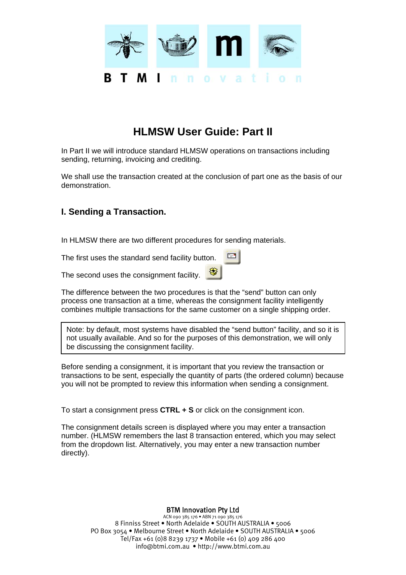

# **HLMSW User Guide: Part II**

In Part II we will introduce standard HLMSW operations on transactions including sending, returning, invoicing and crediting.

We shall use the transaction created at the conclusion of part one as the basis of our demonstration.

## **I. Sending a Transaction.**

In HLMSW there are two different procedures for sending materials.

The first uses the standard send facility button.

The second uses the consignment facility.

The difference between the two procedures is that the "send" button can only process one transaction at a time, whereas the consignment facility intelligently combines multiple transactions for the same customer on a single shipping order.

 $E^*$ 

Note: by default, most systems have disabled the "send button" facility, and so it is not usually available. And so for the purposes of this demonstration, we will only be discussing the consignment facility.

Before sending a consignment, it is important that you review the transaction or transactions to be sent, especially the quantity of parts (the ordered column) because you will not be prompted to review this information when sending a consignment.

To start a consignment press **CTRL + S** or click on the consignment icon.

The consignment details screen is displayed where you may enter a transaction number. (HLMSW remembers the last 8 transaction entered, which you may select from the dropdown list. Alternatively, you may enter a new transaction number directly).

BTM Innovation Pty Ltd

ACN 090 385 176 • ABN 71 090 385 176 8 Finniss Street • North Adelaide • SOUTH AUSTRALIA • 5006 PO Box 3054 • Melbourne Street • North Adelaide • SOUTH AUSTRALIA • 5006 Tel/Fax +61 (0)8 8239 1737 • Mobile +61 (0) 409 286 400 info@btmi.com.au • http://www.btmi.com.au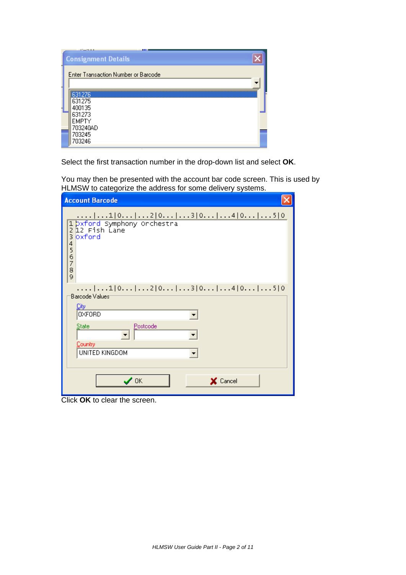| and the state of                    |  |
|-------------------------------------|--|
| <b>Consignment Details</b>          |  |
| Enter Transaction Number or Barcode |  |
|                                     |  |
| 631276                              |  |
| 631275<br>400135                    |  |
| 631273                              |  |
| EMPTY                               |  |
| 703240AD<br>703245                  |  |
| 703246                              |  |
|                                     |  |

Select the first transaction number in the drop-down list and select **OK**.

You may then be presented with the account bar code screen. This is used by HLMSW to categorize the address for some delivery systems.

| <b>Account Barcode</b>                                                                                                                 |
|----------------------------------------------------------------------------------------------------------------------------------------|
| 1 0 2 0 3 0 4 0 5 0<br>1 bxford Symphony Orchestra<br>2 12 Fish Lane<br>3<br>loxford<br>4<br>$\frac{5}{6}$<br>$\overline{7}$<br>8<br>9 |
| Barcode Values <sup>-</sup><br><u>City</u><br><b>OXFORD</b>                                                                            |
| Postcode<br><b>State</b><br>Country<br>UNITED KINGDOM                                                                                  |
| $\boldsymbol{\mathcal{J}}$ ok<br>X Cancel                                                                                              |

Click **OK** to clear the screen.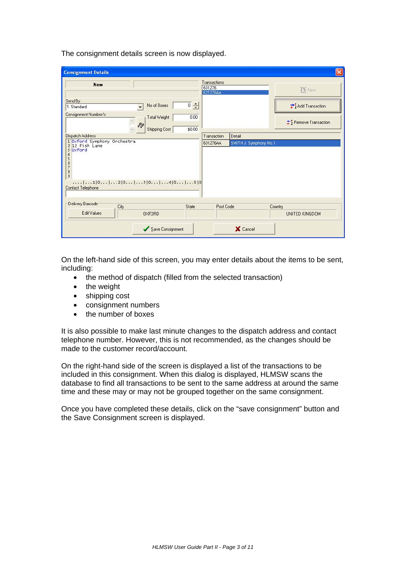The consignment details screen is now displayed.

| <b>Consignment Details</b>                                                                                                                 |                                    |                        |                      |
|--------------------------------------------------------------------------------------------------------------------------------------------|------------------------------------|------------------------|----------------------|
| <b>New</b>                                                                                                                                 | Transactions<br>631276<br>631276AA |                        | IF New               |
| Send By<br>$\overline{0}$ $\div$<br>No of Boxes<br>1. Standard<br>$\cdot$                                                                  |                                    |                        | Add Transaction      |
| Consignment Number/s<br>0.00<br>Total Weight                                                                                               |                                    |                        |                      |
| $\mathcal{S}_0$<br>\$0.00<br>Shipping Cost                                                                                                 |                                    |                        | * Remove Transaction |
| Dispatch Address                                                                                                                           | Transaction                        | Detail                 |                      |
| 2 12 Fish Lane<br>3 Oxford<br>4<br>5<br>6<br>7<br>$\frac{8}{9}$<br>$\ldots$ $1,0,1$ $1,2,0,1$ $3,0,1$ $4,0,1,1,0,5,0$<br>Contact Telephone |                                    | SMITH J. Symphony No.1 |                      |
| Delivery Barcode<br>City<br>State                                                                                                          | Post Code                          |                        | Country              |
| Edit Values<br>0XF0RD                                                                                                                      |                                    |                        | UNITED KINGDOM       |
| Save Consignment                                                                                                                           |                                    | X Cancel               |                      |

On the left-hand side of this screen, you may enter details about the items to be sent, including:

- the method of dispatch (filled from the selected transaction)
- the weight
- shipping cost
- consignment numbers
- the number of boxes

It is also possible to make last minute changes to the dispatch address and contact telephone number. However, this is not recommended, as the changes should be made to the customer record/account.

On the right-hand side of the screen is displayed a list of the transactions to be included in this consignment. When this dialog is displayed, HLMSW scans the database to find all transactions to be sent to the same address at around the same time and these may or may not be grouped together on the same consignment.

Once you have completed these details, click on the "save consignment" button and the Save Consignment screen is displayed.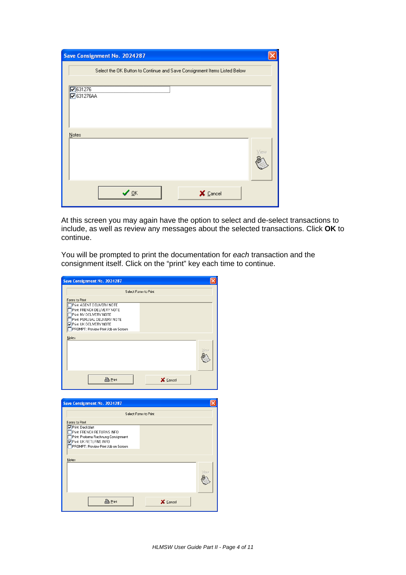| Save Consignment No. 2024287                                             |      |
|--------------------------------------------------------------------------|------|
| Select the OK Button to Continue and Save Consignment Items Listed Below |      |
|                                                                          |      |
| $\n  7 631276$                                                           |      |
| <b>▽</b> 631276AA                                                        |      |
|                                                                          |      |
|                                                                          |      |
| Notes                                                                    |      |
|                                                                          |      |
|                                                                          | View |
|                                                                          |      |
|                                                                          |      |
|                                                                          |      |
| $\vee$ ok<br>X Cancel                                                    |      |
|                                                                          |      |

At this screen you may again have the option to select and de-select transactions to include, as well as review any messages about the selected transactions. Click **OK** to continue.

You will be prompted to print the documentation for *each* transaction and the consignment itself. Click on the "print" key each time to continue.

|                                                                                                                                                                                            | Select Forms to Print |   |
|--------------------------------------------------------------------------------------------------------------------------------------------------------------------------------------------|-----------------------|---|
| Forms to Print                                                                                                                                                                             |                       |   |
| Print: AGENT DELIVERY NOTE<br>Print: FRENCH DELIVERY NOTE<br>Print: NY DELIVERY NOTE<br>Print: PERUSAL DELIVERY NOTE<br>Print: UK DELIVERY NOTE<br>PROMPT: Preview Print Job on Screen     |                       |   |
| Notes                                                                                                                                                                                      |                       |   |
|                                                                                                                                                                                            | View                  |   |
| <b>凸</b> Print                                                                                                                                                                             | X Cancel              |   |
| Save Consignment No. 2024287                                                                                                                                                               |                       |   |
|                                                                                                                                                                                            |                       | × |
|                                                                                                                                                                                            |                       |   |
|                                                                                                                                                                                            | Select Forms to Print |   |
| Forms to Print<br><b>▽</b> Print: Deckblatt<br>Print: FRENCH RETURNS INFO<br>Print: Proforma Rechnung Consignment<br><b>D</b> Print UK RETURNS INFO<br>PROMPT: Preview Print Job on Screen |                       |   |
|                                                                                                                                                                                            |                       |   |
| Notes                                                                                                                                                                                      |                       |   |
|                                                                                                                                                                                            | View                  |   |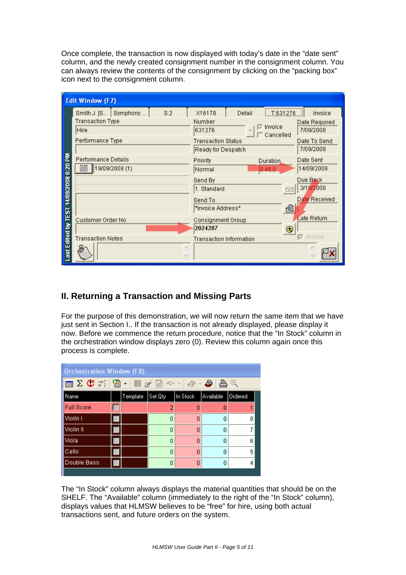Once complete, the transaction is now displayed with today's date in the "date sent" column, and the newly created consignment number in the consignment column. You can always review the contents of the consignment by clicking on the "packing box" icon next to the consignment column.

|                                 | <b>Edit Window (F7)</b>               |                                                 |                                                    |
|---------------------------------|---------------------------------------|-------------------------------------------------|----------------------------------------------------|
|                                 | S:2<br>Smith J. [S   Symphony         | X16178<br>Detail                                | Invoice<br>T:631276                                |
|                                 | Transaction Type<br>Hire              | Number<br>631276                                | Date Required<br>Invoice<br>7/09/2008<br>Cancelled |
|                                 | Performance Type                      | <b>Transaction Status</b><br>Ready for Despatch | Date To Send<br>7/09/2008                          |
| <b>ILEST 14/09/2008 6:20 PM</b> | Performance Details<br>19/09/2008 (1) | Priority<br>Duration<br>0:45:0<br>Normal        | Date Sent<br>14/09/2008                            |
|                                 |                                       | Send By<br>1. Standard                          | Due Back<br>3/10/2008<br>$F = H$                   |
|                                 |                                       | Send To<br>*Invoice Address*                    | Date Received<br>€                                 |
|                                 | Customer Order No                     | Consignment Group<br>2024287                    | Late Return<br>₩                                   |
|                                 | <b>Transaction Notes</b>              | <b>Transaction Information</b>                  | <b>▽</b> Archive                                   |
| ast Edited by                   |                                       |                                                 |                                                    |

## **II. Returning a Transaction and Missing Parts**

For the purpose of this demonstration, we will now return the same item that we have just sent in Section I.. If the transaction is not already displayed, please display it now. Before we commence the return procedure, notice that the "In Stock" column in the orchestration window displays zero (0). Review this column again once this process is complete.

| <b>Orchestration Window (F8)</b>                    |  |          |         |          |           |         |  |  |
|-----------------------------------------------------|--|----------|---------|----------|-----------|---------|--|--|
| <b>EZ C 7   &amp; - III /</b> # E → -   4 - 8   B 4 |  |          |         |          |           |         |  |  |
| Name                                                |  | Template | Set Qty | In Stock | Available | Ordered |  |  |
| <b>Full Score</b>                                   |  |          | 2       | n        |           |         |  |  |
| Violin I                                            |  |          | 0       | n        | Ω         | 8       |  |  |
| Violin II                                           |  |          | n       | n        | n         |         |  |  |
| Viola                                               |  |          | 0       | n        | n         | 6       |  |  |
| Cello                                               |  |          | Ω       | n        | Ω         | 5       |  |  |
| Double Bass                                         |  |          | n       | n        | n         | 4       |  |  |
|                                                     |  |          |         |          |           |         |  |  |

The "In Stock" column always displays the material quantities that should be on the SHELF. The "Available" column (immediately to the right of the "In Stock" column), displays values that HLMSW believes to be "free" for hire, using both actual transactions sent, and future orders on the system.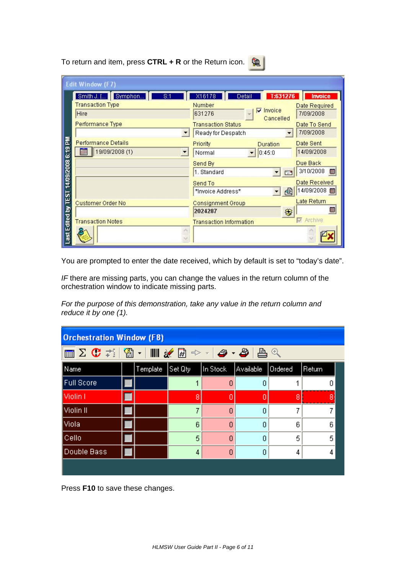To return and item, press **CTRL + R** or the Return icon.

|                                        | <b>Edit Window (F7)</b>                         |                                |                  |
|----------------------------------------|-------------------------------------------------|--------------------------------|------------------|
|                                        | Symphon<br>Smith J. []<br>8:1                   | T:631276<br>X16178<br>Detail   | <b>Invoice</b>   |
|                                        | <b>Transaction Type</b>                         | Number<br>Invoice<br>⊽         | Date Required    |
|                                        | Hire                                            | 631276<br>Cancelled            | 7/09/2008        |
|                                        | Performance Type                                | <b>Transaction Status</b>      | Date To Send     |
|                                        |                                                 | Ready for Despatch             | 7/09/2008        |
|                                        | <b>Performance Details</b>                      | Priority<br>Duration           | Date Sent        |
|                                        | 19/09/2008 (1)<br>賺<br>$\overline{\phantom{0}}$ | 0:45:0<br>Normal               | 14/09/2008       |
|                                        |                                                 | Send By                        | Due Back         |
|                                        |                                                 | 1. Standard<br>$\mathbb{R}^n$  | 3/10/2008<br>雛   |
|                                        |                                                 | Send To                        | Date Received    |
|                                        |                                                 | €<br>*Invoice Address*         | 14/09/2008       |
|                                        | Customer Order No                               | <b>Consignment Group</b>       | Late Return      |
|                                        |                                                 | 2024287<br>₩                   | 雛                |
|                                        | <b>Transaction Notes</b>                        | <b>Transaction Information</b> | <b>E</b> Archive |
| Last Edited by TEST 14/09/2008 6:19 PM |                                                 |                                |                  |

You are prompted to enter the date received, which by default is set to "today's date".

*IF* there are missing parts, you can change the values in the return column of the orchestration window to indicate missing parts.

*For the purpose of this demonstration, take any value in the return column and reduce it by one (1).* 

| <b>Orchestration Window (F8)</b>           |  |          |         |          |           |                |        |  |  |
|--------------------------------------------|--|----------|---------|----------|-----------|----------------|--------|--|--|
| KK 3 G 7   KK 7   KK 8   A + A + 8   A + 8 |  |          |         |          |           |                |        |  |  |
| Name                                       |  | Template | Set Qty | In Stock | Available | <b>Ordered</b> | Return |  |  |
| <b>Full Score</b>                          |  |          |         | 0        | 0         |                |        |  |  |
| Violin I                                   |  |          | 8       | n        | 0         | 8              | 8      |  |  |
| Violin II                                  |  |          | 7       | 0        | 0         |                |        |  |  |
| Viola                                      |  |          | 6       | 0        | 0         | 6              | หิ     |  |  |
| Cello                                      |  |          | 5       | 0        | 0         | 5              | 5      |  |  |
| Double Bass<br>4<br>0<br>0<br>4<br>4       |  |          |         |          |           |                |        |  |  |
|                                            |  |          |         |          |           |                |        |  |  |

Press **F10** to save these changes.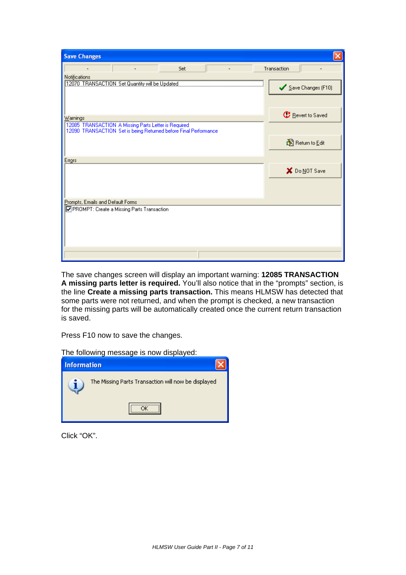| Transaction              |
|--------------------------|
|                          |
| Save Changes (F10)       |
| <b>C</b> Revert to Saved |
| 图 Return to Edit         |
|                          |
| X Do NOT Save            |
|                          |
|                          |
|                          |
|                          |

The save changes screen will display an important warning: **12085 TRANSACTION A missing parts letter is required.** You'll also notice that in the "prompts" section, is the line **Create a missing parts transaction.** This means HLMSW has detected that some parts were not returned, and when the prompt is checked, a new transaction for the missing parts will be automatically created once the current return transaction is saved.

Press F10 now to save the changes.

The following message is now displayed:

| <b>Information</b> |                                                     |
|--------------------|-----------------------------------------------------|
|                    | The Missing Parts Transaction will now be displayed |
|                    |                                                     |

Click "OK".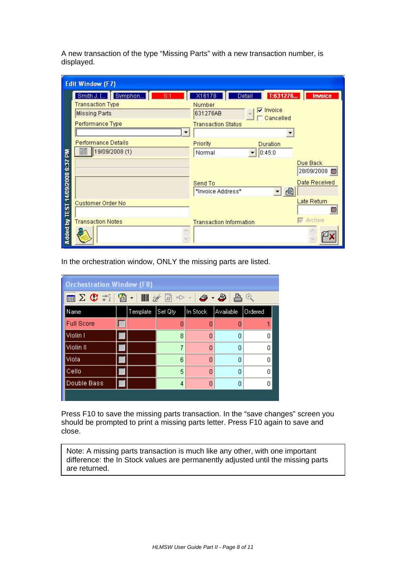A new transaction of the type "Missing Parts" with a new transaction number, is displayed.

|                                  | <b>Edit Window (F7)</b>                                                                           |                                                                                                                  |                        |
|----------------------------------|---------------------------------------------------------------------------------------------------|------------------------------------------------------------------------------------------------------------------|------------------------|
|                                  | Smith J. [] Symphon<br>8:1<br><b>Transaction Type</b><br><b>Missing Parts</b><br>Performance Type | T:631276<br>X16178<br>Detail<br>Number<br>$\nabla$ Invoice<br>631276AB<br>Cancelled<br><b>Transaction Status</b> | <b>Invoice</b>         |
|                                  | Performance Details<br>19/09/2008 (1)<br>                                                         | Priority<br><b>Duration</b><br>0:45:0<br>Normal                                                                  |                        |
|                                  |                                                                                                   |                                                                                                                  | Due Back<br>28/09/2008 |
|                                  |                                                                                                   | Send To<br>€<br>*Invoice Address*                                                                                | Date Received          |
|                                  | Customer Order No                                                                                 |                                                                                                                  | Late Return<br>能       |
| Added by TEST 14/09/2008 6:37 PM | <b>Transaction Notes</b>                                                                          | <b>Transaction Information</b>                                                                                   | Archive                |

In the orchestration window, ONLY the missing parts are listed.

| <b>Orchestration Window (F8)</b> |  |          |         |          |           |         |
|----------------------------------|--|----------|---------|----------|-----------|---------|
|                                  |  |          |         |          |           |         |
| Name                             |  | Template | Set Qty | In Stock | Available | Ordered |
| <b>Full Score</b>                |  |          | ۵       | n        | Л         |         |
| Violin I                         |  |          | 8       | 0        | 0         | Ω       |
| Violin II                        |  |          | 7       | 0        | n         | n       |
| Viola                            |  |          | 6       | Ω        | Ω         | n       |
| Cello                            |  |          | 5       | 0        | n         | n       |
| Double Bass                      |  |          | 4       | 0        | 0         | Ω       |
|                                  |  |          |         |          |           |         |

Press F10 to save the missing parts transaction. In the "save changes" screen you should be prompted to print a missing parts letter. Press F10 again to save and close.

Note: A missing parts transaction is much like any other, with one important difference: the In Stock values are permanently adjusted until the missing parts are returned.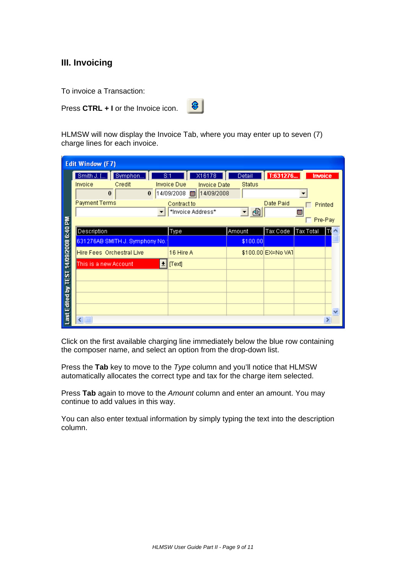#### **III. Invoicing**

To invoice a Transaction:

Press **CTRL + I** or the Invoice icon.

 $|8|$ 

HLMSW will now display the Invoice Tab, where you may enter up to seven (7) charge lines for each invoice.

| <b>Edit Window (F7)</b>                |                                                                                            |                                                                                                                                 |                                                      |                                |                                                  |  |  |
|----------------------------------------|--------------------------------------------------------------------------------------------|---------------------------------------------------------------------------------------------------------------------------------|------------------------------------------------------|--------------------------------|--------------------------------------------------|--|--|
|                                        | Smith J. [<br>Symphon<br>Credit<br>Invoice<br>$\bf{0}$<br>$\bf{0}$<br><b>Payment Terms</b> | X16178<br>S:1<br><b>Invoice Due</b><br><b>Invoice Date</b><br>14/09/2008<br>14/09/2008<br>爾<br>Contract to<br>*Invoice Address* | Detail<br><b>Status</b><br>追<br>$\blacktriangledown$ | T:631276<br>Date Paid          | <b>Invoice</b><br>Printed<br>m<br>$\Box$ Pre-Pay |  |  |
| Last Edited by TEST 14/09/2008 6:40 PM | Description<br>631276AB SMITH J. Symphony No.<br>Hire Fees, Orchestral Live                | Type<br>16 Hire A                                                                                                               | Amount<br>\$100.00                                   | Tax Code<br>\$100.00 EX=No VAT | Tax Total                                        |  |  |
|                                        | This is a new Account<br>회                                                                 | [Text]                                                                                                                          |                                                      |                                |                                                  |  |  |
|                                        |                                                                                            |                                                                                                                                 |                                                      |                                |                                                  |  |  |
|                                        | $\left\langle \cdot \right\rangle$ iii                                                     |                                                                                                                                 |                                                      |                                |                                                  |  |  |

Click on the first available charging line immediately below the blue row containing the composer name, and select an option from the drop-down list.

Press the **Tab** key to move to the *Type* column and you'll notice that HLMSW automatically allocates the correct type and tax for the charge item selected.

Press **Tab** again to move to the *Amount* column and enter an amount. You may continue to add values in this way.

You can also enter textual information by simply typing the text into the description column.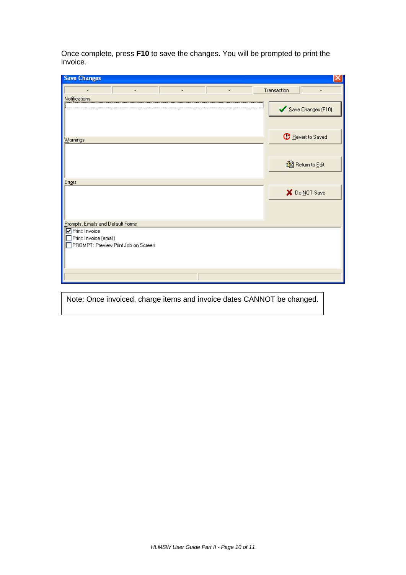Once complete, press **F10** to save the changes. You will be prompted to print the invoice.

| <b>Save Changes</b>                                           |                          |
|---------------------------------------------------------------|--------------------------|
|                                                               | Transaction              |
| Notifications                                                 |                          |
|                                                               | Save Changes (F10)       |
|                                                               |                          |
|                                                               |                          |
| $\underline{\text{W}}$ arnings                                | <b>C</b> Revert to Saved |
|                                                               |                          |
|                                                               |                          |
|                                                               | 图 Return to Edit         |
|                                                               |                          |
| Errors                                                        |                          |
|                                                               | X Do NOT Save            |
|                                                               |                          |
|                                                               |                          |
| Prompts, Emails and Default Forms                             |                          |
| Print: Invoice                                                |                          |
| Print: Invoice (email)<br>PROMPT: Preview Print Job on Screen |                          |
|                                                               |                          |
|                                                               |                          |
|                                                               |                          |
|                                                               |                          |
|                                                               |                          |

Note: Once invoiced, charge items and invoice dates CANNOT be changed.